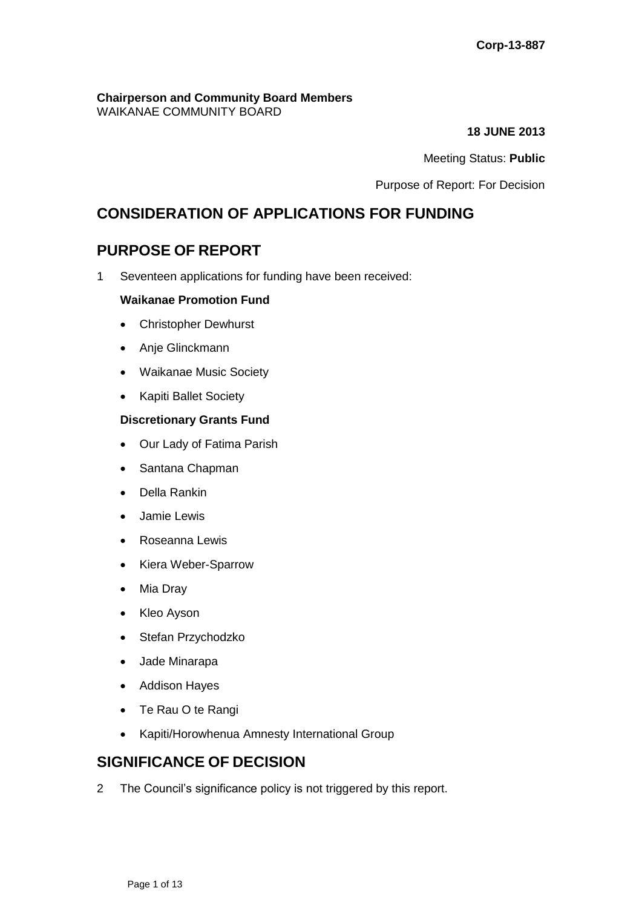#### **Chairperson and Community Board Members** WAIKANAE COMMUNITY BOARD

**18 JUNE 2013**

Meeting Status: **Public**

Purpose of Report: For Decision

# **CONSIDERATION OF APPLICATIONS FOR FUNDING**

# **PURPOSE OF REPORT**

1 Seventeen applications for funding have been received:

#### **Waikanae Promotion Fund**

- Christopher Dewhurst
- Anje Glinckmann
- Waikanae Music Society
- Kapiti Ballet Society

#### **Discretionary Grants Fund**

- Our Lady of Fatima Parish
- Santana Chapman
- Della Rankin
- Jamie Lewis
- Roseanna Lewis
- Kiera Weber-Sparrow
- Mia Dray
- Kleo Ayson
- Stefan Przychodzko
- Jade Minarapa
- Addison Hayes
- Te Rau O te Rangi
- Kapiti/Horowhenua Amnesty International Group

# **SIGNIFICANCE OF DECISION**

2 The Council's significance policy is not triggered by this report.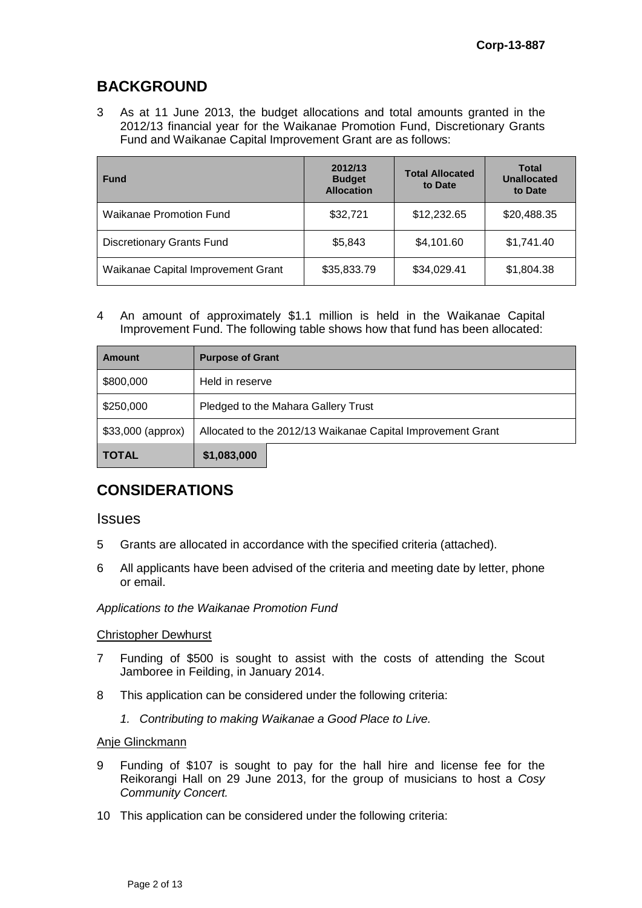# **BACKGROUND**

3 As at 11 June 2013, the budget allocations and total amounts granted in the 2012/13 financial year for the Waikanae Promotion Fund, Discretionary Grants Fund and Waikanae Capital Improvement Grant are as follows:

| <b>Fund</b>                        | 2012/13<br><b>Budget</b><br><b>Allocation</b> | <b>Total Allocated</b><br>to Date | <b>Total</b><br><b>Unallocated</b><br>to Date |
|------------------------------------|-----------------------------------------------|-----------------------------------|-----------------------------------------------|
| Waikanae Promotion Fund            | \$32,721                                      | \$12,232.65                       | \$20,488.35                                   |
| <b>Discretionary Grants Fund</b>   | \$5,843                                       | \$4,101.60                        | \$1,741.40                                    |
| Waikanae Capital Improvement Grant | \$35,833.79                                   | \$34,029.41                       | \$1,804.38                                    |

4 An amount of approximately \$1.1 million is held in the Waikanae Capital Improvement Fund. The following table shows how that fund has been allocated:

| <b>Amount</b>     | <b>Purpose of Grant</b>                                     |  |  |  |
|-------------------|-------------------------------------------------------------|--|--|--|
| \$800,000         | Held in reserve                                             |  |  |  |
| \$250,000         | Pledged to the Mahara Gallery Trust                         |  |  |  |
| \$33,000 (approx) | Allocated to the 2012/13 Waikanae Capital Improvement Grant |  |  |  |
| <b>TOTAL</b>      | \$1,083,000                                                 |  |  |  |

# **CONSIDERATIONS**

#### **Issues**

- 5 Grants are allocated in accordance with the specified criteria (attached).
- 6 All applicants have been advised of the criteria and meeting date by letter, phone or email.

#### *Applications to the Waikanae Promotion Fund*

#### Christopher Dewhurst

- 7 Funding of \$500 is sought to assist with the costs of attending the Scout Jamboree in Feilding, in January 2014.
- 8 This application can be considered under the following criteria:
	- *1. Contributing to making Waikanae a Good Place to Live.*

#### Anje Glinckmann

- 9 Funding of \$107 is sought to pay for the hall hire and license fee for the Reikorangi Hall on 29 June 2013, for the group of musicians to host a *Cosy Community Concert.*
- 10 This application can be considered under the following criteria: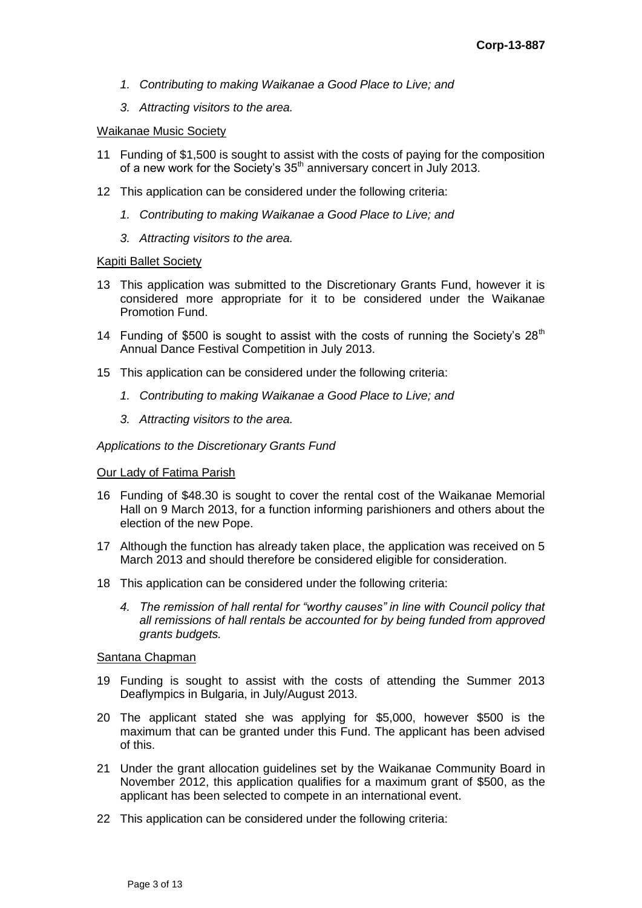- *1. Contributing to making Waikanae a Good Place to Live; and*
- *3. Attracting visitors to the area.*

#### Waikanae Music Society

- 11 Funding of \$1,500 is sought to assist with the costs of paying for the composition of a new work for the Society's 35<sup>th</sup> anniversary concert in July 2013.
- 12 This application can be considered under the following criteria:
	- *1. Contributing to making Waikanae a Good Place to Live; and*
	- *3. Attracting visitors to the area.*

#### Kapiti Ballet Society

- 13 This application was submitted to the Discretionary Grants Fund, however it is considered more appropriate for it to be considered under the Waikanae Promotion Fund.
- 14 Funding of \$500 is sought to assist with the costs of running the Society's  $28<sup>th</sup>$ Annual Dance Festival Competition in July 2013.
- 15 This application can be considered under the following criteria:
	- *1. Contributing to making Waikanae a Good Place to Live; and*
	- *3. Attracting visitors to the area.*

#### *Applications to the Discretionary Grants Fund*

#### Our Lady of Fatima Parish

- 16 Funding of \$48.30 is sought to cover the rental cost of the Waikanae Memorial Hall on 9 March 2013, for a function informing parishioners and others about the election of the new Pope.
- 17 Although the function has already taken place, the application was received on 5 March 2013 and should therefore be considered eligible for consideration.
- 18 This application can be considered under the following criteria:
	- *4. The remission of hall rental for "worthy causes" in line with Council policy that all remissions of hall rentals be accounted for by being funded from approved grants budgets.*

#### Santana Chapman

- 19 Funding is sought to assist with the costs of attending the Summer 2013 Deaflympics in Bulgaria, in July/August 2013.
- 20 The applicant stated she was applying for \$5,000, however \$500 is the maximum that can be granted under this Fund. The applicant has been advised of this.
- 21 Under the grant allocation guidelines set by the Waikanae Community Board in November 2012, this application qualifies for a maximum grant of \$500, as the applicant has been selected to compete in an international event.
- 22 This application can be considered under the following criteria: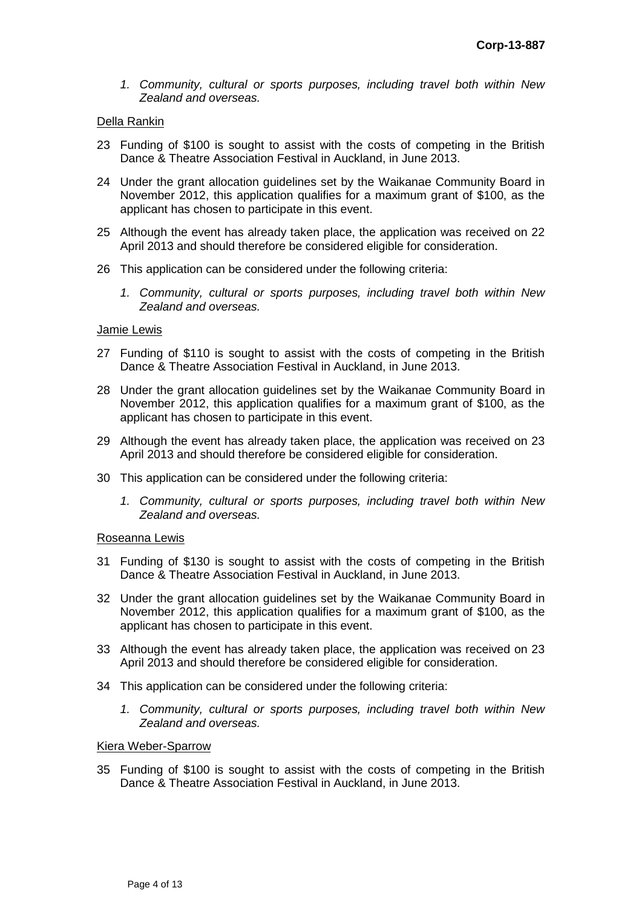*1. Community, cultural or sports purposes, including travel both within New Zealand and overseas.*

#### Della Rankin

- 23 Funding of \$100 is sought to assist with the costs of competing in the British Dance & Theatre Association Festival in Auckland, in June 2013.
- 24 Under the grant allocation guidelines set by the Waikanae Community Board in November 2012, this application qualifies for a maximum grant of \$100, as the applicant has chosen to participate in this event.
- 25 Although the event has already taken place, the application was received on 22 April 2013 and should therefore be considered eligible for consideration.
- 26 This application can be considered under the following criteria:
	- *1. Community, cultural or sports purposes, including travel both within New Zealand and overseas.*

#### Jamie Lewis

- 27 Funding of \$110 is sought to assist with the costs of competing in the British Dance & Theatre Association Festival in Auckland, in June 2013.
- 28 Under the grant allocation guidelines set by the Waikanae Community Board in November 2012, this application qualifies for a maximum grant of \$100, as the applicant has chosen to participate in this event.
- 29 Although the event has already taken place, the application was received on 23 April 2013 and should therefore be considered eligible for consideration.
- 30 This application can be considered under the following criteria:
	- *1. Community, cultural or sports purposes, including travel both within New Zealand and overseas.*

#### Roseanna Lewis

- 31 Funding of \$130 is sought to assist with the costs of competing in the British Dance & Theatre Association Festival in Auckland, in June 2013.
- 32 Under the grant allocation guidelines set by the Waikanae Community Board in November 2012, this application qualifies for a maximum grant of \$100, as the applicant has chosen to participate in this event.
- 33 Although the event has already taken place, the application was received on 23 April 2013 and should therefore be considered eligible for consideration.
- 34 This application can be considered under the following criteria:
	- *1. Community, cultural or sports purposes, including travel both within New Zealand and overseas.*

#### Kiera Weber-Sparrow

35 Funding of \$100 is sought to assist with the costs of competing in the British Dance & Theatre Association Festival in Auckland, in June 2013.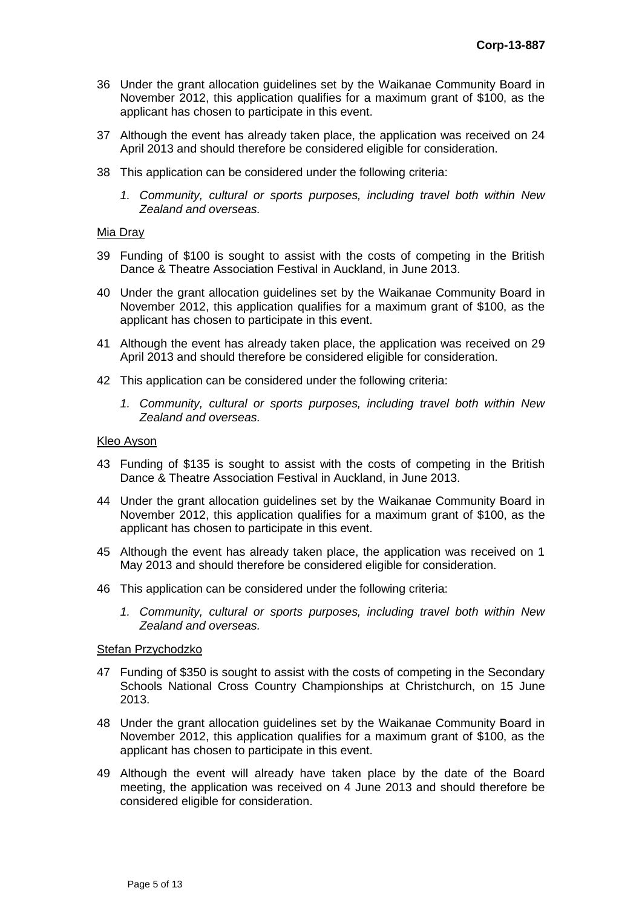- 36 Under the grant allocation guidelines set by the Waikanae Community Board in November 2012, this application qualifies for a maximum grant of \$100, as the applicant has chosen to participate in this event.
- 37 Although the event has already taken place, the application was received on 24 April 2013 and should therefore be considered eligible for consideration.
- 38 This application can be considered under the following criteria:
	- *1. Community, cultural or sports purposes, including travel both within New Zealand and overseas.*

#### Mia Dray

- 39 Funding of \$100 is sought to assist with the costs of competing in the British Dance & Theatre Association Festival in Auckland, in June 2013.
- 40 Under the grant allocation guidelines set by the Waikanae Community Board in November 2012, this application qualifies for a maximum grant of \$100, as the applicant has chosen to participate in this event.
- 41 Although the event has already taken place, the application was received on 29 April 2013 and should therefore be considered eligible for consideration.
- 42 This application can be considered under the following criteria:
	- *1. Community, cultural or sports purposes, including travel both within New Zealand and overseas.*

#### Kleo Ayson

- 43 Funding of \$135 is sought to assist with the costs of competing in the British Dance & Theatre Association Festival in Auckland, in June 2013.
- 44 Under the grant allocation guidelines set by the Waikanae Community Board in November 2012, this application qualifies for a maximum grant of \$100, as the applicant has chosen to participate in this event.
- 45 Although the event has already taken place, the application was received on 1 May 2013 and should therefore be considered eligible for consideration.
- 46 This application can be considered under the following criteria:
	- *1. Community, cultural or sports purposes, including travel both within New Zealand and overseas.*

#### Stefan Przychodzko

- 47 Funding of \$350 is sought to assist with the costs of competing in the Secondary Schools National Cross Country Championships at Christchurch, on 15 June 2013.
- 48 Under the grant allocation guidelines set by the Waikanae Community Board in November 2012, this application qualifies for a maximum grant of \$100, as the applicant has chosen to participate in this event.
- 49 Although the event will already have taken place by the date of the Board meeting, the application was received on 4 June 2013 and should therefore be considered eligible for consideration.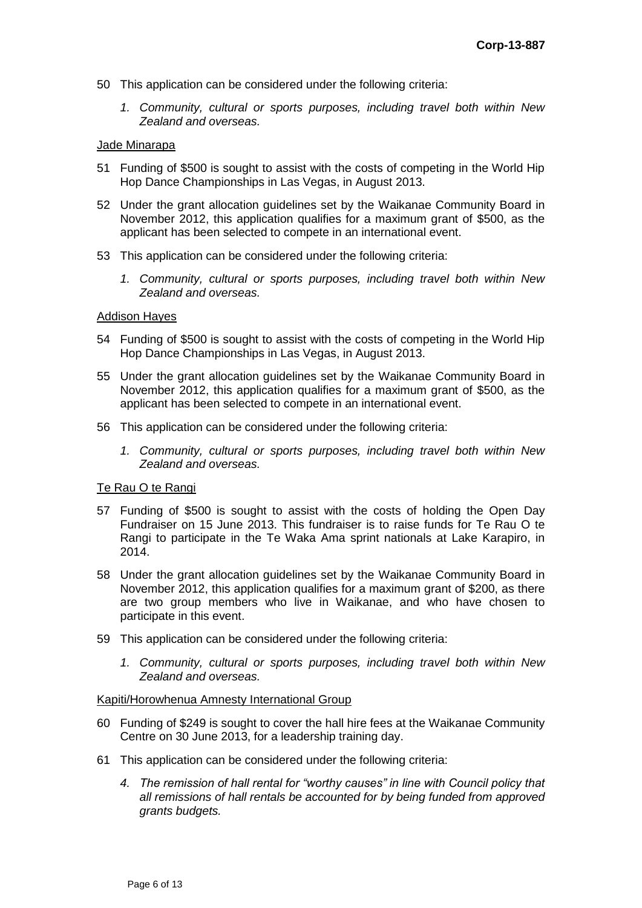- 50 This application can be considered under the following criteria:
	- *1. Community, cultural or sports purposes, including travel both within New Zealand and overseas.*

#### Jade Minarapa

- 51 Funding of \$500 is sought to assist with the costs of competing in the World Hip Hop Dance Championships in Las Vegas, in August 2013.
- 52 Under the grant allocation guidelines set by the Waikanae Community Board in November 2012, this application qualifies for a maximum grant of \$500, as the applicant has been selected to compete in an international event.
- 53 This application can be considered under the following criteria:
	- *1. Community, cultural or sports purposes, including travel both within New Zealand and overseas.*

#### Addison Hayes

- 54 Funding of \$500 is sought to assist with the costs of competing in the World Hip Hop Dance Championships in Las Vegas, in August 2013.
- 55 Under the grant allocation guidelines set by the Waikanae Community Board in November 2012, this application qualifies for a maximum grant of \$500, as the applicant has been selected to compete in an international event.
- 56 This application can be considered under the following criteria:
	- *1. Community, cultural or sports purposes, including travel both within New Zealand and overseas.*

#### Te Rau O te Rangi

- 57 Funding of \$500 is sought to assist with the costs of holding the Open Day Fundraiser on 15 June 2013. This fundraiser is to raise funds for Te Rau O te Rangi to participate in the Te Waka Ama sprint nationals at Lake Karapiro, in 2014.
- 58 Under the grant allocation guidelines set by the Waikanae Community Board in November 2012, this application qualifies for a maximum grant of \$200, as there are two group members who live in Waikanae, and who have chosen to participate in this event.
- 59 This application can be considered under the following criteria:
	- *1. Community, cultural or sports purposes, including travel both within New Zealand and overseas.*

#### Kapiti/Horowhenua Amnesty International Group

- 60 Funding of \$249 is sought to cover the hall hire fees at the Waikanae Community Centre on 30 June 2013, for a leadership training day.
- 61 This application can be considered under the following criteria:
	- *4. The remission of hall rental for "worthy causes" in line with Council policy that all remissions of hall rentals be accounted for by being funded from approved grants budgets.*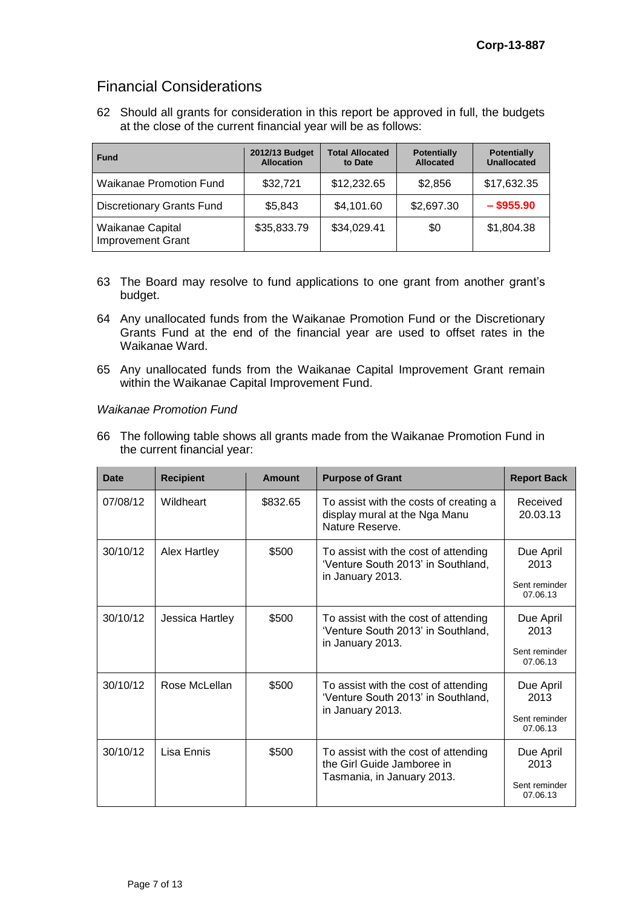# Financial Considerations

62 Should all grants for consideration in this report be approved in full, the budgets at the close of the current financial year will be as follows:

| <b>Fund</b>                                  | 2012/13 Budget<br><b>Allocation</b> | <b>Total Allocated</b><br>to Date | <b>Potentially</b><br><b>Allocated</b> | <b>Potentially</b><br><b>Unallocated</b> |
|----------------------------------------------|-------------------------------------|-----------------------------------|----------------------------------------|------------------------------------------|
| <b>Waikanae Promotion Fund</b>               | \$32,721                            | \$12,232.65                       | \$2,856                                | \$17,632.35                              |
| <b>Discretionary Grants Fund</b>             | \$5,843                             | \$4,101.60                        | \$2,697.30                             | $-$ \$955.90                             |
| Waikanae Capital<br><b>Improvement Grant</b> | \$35,833.79                         | \$34,029.41                       | \$0                                    | \$1,804.38                               |

- 63 The Board may resolve to fund applications to one grant from another grant's budget.
- 64 Any unallocated funds from the Waikanae Promotion Fund or the Discretionary Grants Fund at the end of the financial year are used to offset rates in the Waikanae Ward.
- 65 Any unallocated funds from the Waikanae Capital Improvement Grant remain within the Waikanae Capital Improvement Fund.

#### *Waikanae Promotion Fund*

66 The following table shows all grants made from the Waikanae Promotion Fund in the current financial year:

| Date     | <b>Recipient</b> | <b>Amount</b> | <b>Purpose of Grant</b>                                                                          | <b>Report Back</b>                             |
|----------|------------------|---------------|--------------------------------------------------------------------------------------------------|------------------------------------------------|
| 07/08/12 | Wildheart        | \$832.65      | To assist with the costs of creating a<br>display mural at the Nga Manu<br>Nature Reserve.       | Received<br>20.03.13                           |
| 30/10/12 | Alex Hartley     | \$500         | To assist with the cost of attending<br>'Venture South 2013' in Southland,<br>in January 2013.   | Due April<br>2013<br>Sent reminder<br>07.06.13 |
| 30/10/12 | Jessica Hartley  | \$500         | To assist with the cost of attending<br>'Venture South 2013' in Southland,<br>in January 2013.   | Due April<br>2013<br>Sent reminder<br>07.06.13 |
| 30/10/12 | Rose McLellan    | \$500         | To assist with the cost of attending<br>'Venture South 2013' in Southland,<br>in January 2013.   | Due April<br>2013<br>Sent reminder<br>07.06.13 |
| 30/10/12 | Lisa Ennis       | \$500         | To assist with the cost of attending<br>the Girl Guide Jamboree in<br>Tasmania, in January 2013. | Due April<br>2013<br>Sent reminder<br>07.06.13 |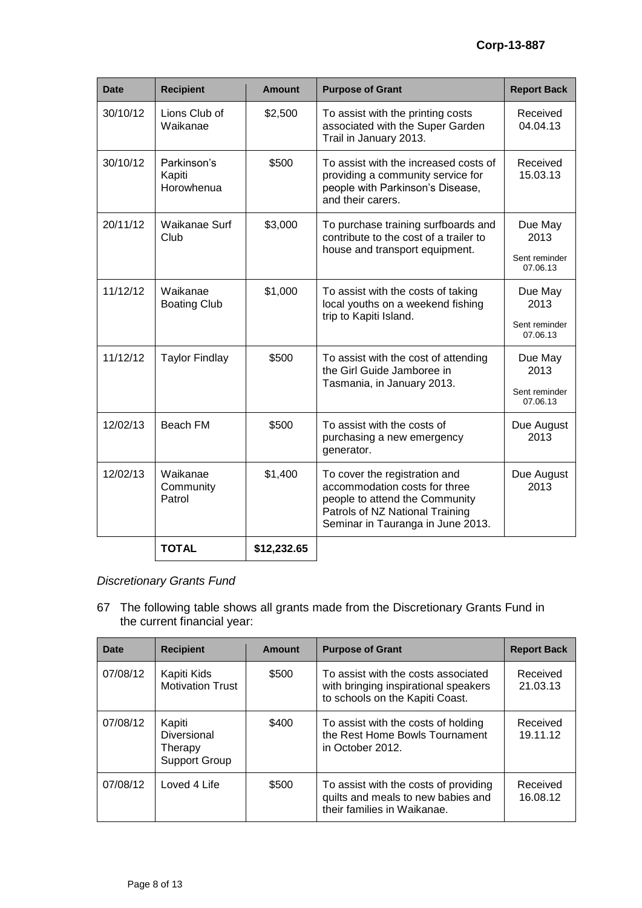| <b>Date</b> | <b>Recipient</b>                    | <b>Amount</b> | <b>Purpose of Grant</b>                                                                                                                                                  | <b>Report Back</b>                           |
|-------------|-------------------------------------|---------------|--------------------------------------------------------------------------------------------------------------------------------------------------------------------------|----------------------------------------------|
| 30/10/12    | Lions Club of<br>Waikanae           | \$2,500       | To assist with the printing costs<br>associated with the Super Garden<br>Trail in January 2013.                                                                          | Received<br>04.04.13                         |
| 30/10/12    | Parkinson's<br>Kapiti<br>Horowhenua | \$500         | To assist with the increased costs of<br>providing a community service for<br>people with Parkinson's Disease,<br>and their carers.                                      | Received<br>15.03.13                         |
| 20/11/12    | Waikanae Surf<br>Club               | \$3,000       | To purchase training surfboards and<br>contribute to the cost of a trailer to<br>house and transport equipment.                                                          | Due May<br>2013<br>Sent reminder<br>07.06.13 |
| 11/12/12    | Waikanae<br><b>Boating Club</b>     | \$1,000       | To assist with the costs of taking<br>local youths on a weekend fishing<br>trip to Kapiti Island.                                                                        | Due May<br>2013<br>Sent reminder<br>07.06.13 |
| 11/12/12    | <b>Taylor Findlay</b>               | \$500         | To assist with the cost of attending<br>the Girl Guide Jamboree in<br>Tasmania, in January 2013.                                                                         | Due May<br>2013<br>Sent reminder<br>07.06.13 |
| 12/02/13    | Beach FM                            | \$500         | To assist with the costs of<br>purchasing a new emergency<br>generator.                                                                                                  | Due August<br>2013                           |
| 12/02/13    | Waikanae<br>Community<br>Patrol     | \$1,400       | To cover the registration and<br>accommodation costs for three<br>people to attend the Community<br>Patrols of NZ National Training<br>Seminar in Tauranga in June 2013. | Due August<br>2013                           |
|             | <b>TOTAL</b>                        | \$12,232.65   |                                                                                                                                                                          |                                              |

## *Discretionary Grants Fund*

67 The following table shows all grants made from the Discretionary Grants Fund in the current financial year:

| Date     | <b>Recipient</b>                                         | <b>Amount</b> | <b>Purpose of Grant</b>                                                                                        | <b>Report Back</b>   |
|----------|----------------------------------------------------------|---------------|----------------------------------------------------------------------------------------------------------------|----------------------|
| 07/08/12 | Kapiti Kids<br><b>Motivation Trust</b>                   | \$500         | To assist with the costs associated<br>with bringing inspirational speakers<br>to schools on the Kapiti Coast. | Received<br>21.03.13 |
| 07/08/12 | Kapiti<br>Diversional<br>Therapy<br><b>Support Group</b> | \$400         | To assist with the costs of holding<br>the Rest Home Bowls Tournament<br>in October 2012.                      | Received<br>19.11.12 |
| 07/08/12 | Loved 4 Life                                             | \$500         | To assist with the costs of providing<br>quilts and meals to new babies and<br>their families in Waikanae.     | Received<br>16.08.12 |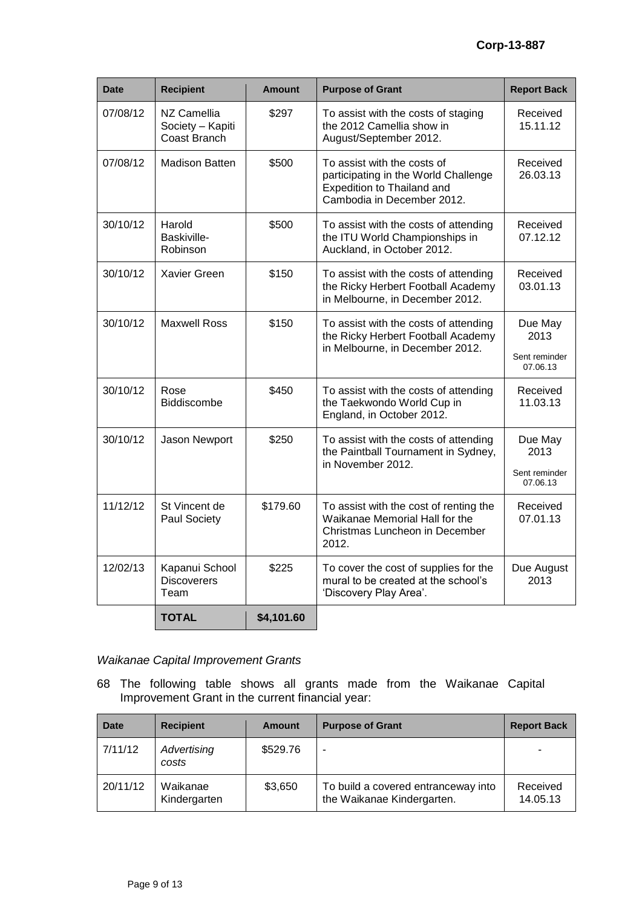| <b>Date</b> | <b>Recipient</b>                                | <b>Amount</b> | <b>Purpose of Grant</b>                                                                                                         | <b>Report Back</b>                           |
|-------------|-------------------------------------------------|---------------|---------------------------------------------------------------------------------------------------------------------------------|----------------------------------------------|
| 07/08/12    | NZ Camellia<br>Society - Kapiti<br>Coast Branch | \$297         | To assist with the costs of staging<br>the 2012 Camellia show in<br>August/September 2012.                                      | Received<br>15.11.12                         |
| 07/08/12    | <b>Madison Batten</b>                           | \$500         | To assist with the costs of<br>participating in the World Challenge<br>Expedition to Thailand and<br>Cambodia in December 2012. | Received<br>26.03.13                         |
| 30/10/12    | Harold<br>Baskiville-<br>Robinson               | \$500         | To assist with the costs of attending<br>the ITU World Championships in<br>Auckland, in October 2012.                           | Received<br>07.12.12                         |
| 30/10/12    | Xavier Green                                    | \$150         | To assist with the costs of attending<br>the Ricky Herbert Football Academy<br>in Melbourne, in December 2012.                  | Received<br>03.01.13                         |
| 30/10/12    | <b>Maxwell Ross</b>                             | \$150         | To assist with the costs of attending<br>the Ricky Herbert Football Academy<br>in Melbourne, in December 2012.                  | Due May<br>2013<br>Sent reminder<br>07.06.13 |
| 30/10/12    | Rose<br><b>Biddiscombe</b>                      | \$450         | To assist with the costs of attending<br>the Taekwondo World Cup in<br>England, in October 2012.                                | Received<br>11.03.13                         |
| 30/10/12    | Jason Newport                                   | \$250         | To assist with the costs of attending<br>the Paintball Tournament in Sydney,<br>in November 2012.                               | Due May<br>2013<br>Sent reminder<br>07.06.13 |
| 11/12/12    | St Vincent de<br>Paul Society                   | \$179.60      | To assist with the cost of renting the<br>Waikanae Memorial Hall for the<br>Christmas Luncheon in December<br>2012.             | Received<br>07.01.13                         |
| 12/02/13    | Kapanui School<br><b>Discoverers</b><br>Team    | \$225         | To cover the cost of supplies for the<br>mural to be created at the school's<br>'Discovery Play Area'.                          | Due August<br>2013                           |
|             | <b>TOTAL</b>                                    | \$4,101.60    |                                                                                                                                 |                                              |

## *Waikanae Capital Improvement Grants*

68 The following table shows all grants made from the Waikanae Capital Improvement Grant in the current financial year:

| <b>Date</b> | <b>Recipient</b>         | <b>Amount</b> | <b>Purpose of Grant</b>                                           | <b>Report Back</b>   |
|-------------|--------------------------|---------------|-------------------------------------------------------------------|----------------------|
| 7/11/12     | Advertising<br>costs     | \$529.76      | -                                                                 |                      |
| 20/11/12    | Waikanae<br>Kindergarten | \$3,650       | To build a covered entranceway into<br>the Waikanae Kindergarten. | Received<br>14.05.13 |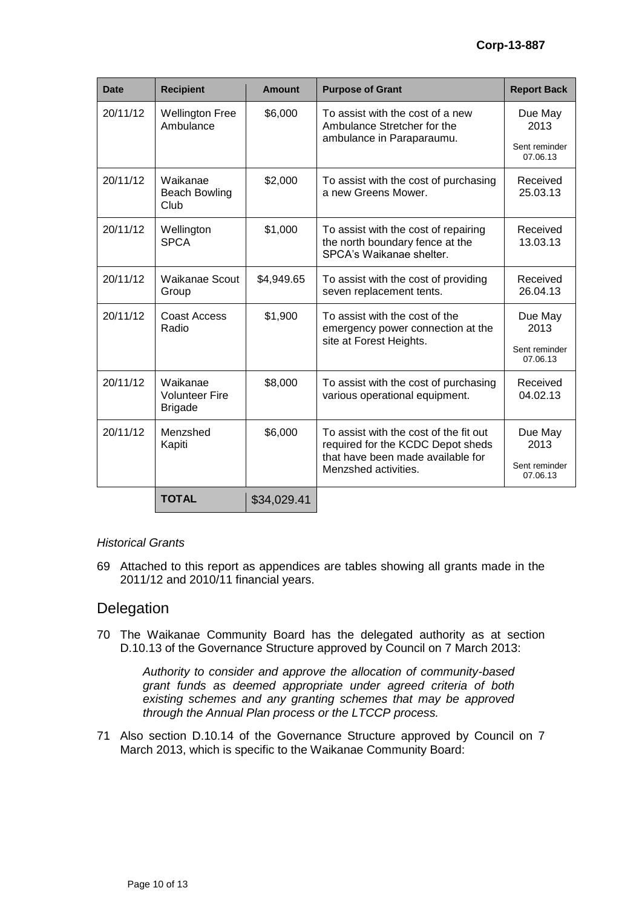| <b>Date</b> | <b>Recipient</b>                                    | <b>Amount</b>                             | <b>Purpose of Grant</b>                                                                                                                  | <b>Report Back</b>        |
|-------------|-----------------------------------------------------|-------------------------------------------|------------------------------------------------------------------------------------------------------------------------------------------|---------------------------|
| 20/11/12    | <b>Wellington Free</b><br>Ambulance                 | \$6,000                                   | To assist with the cost of a new<br>Ambulance Stretcher for the                                                                          | Due May<br>2013           |
|             |                                                     |                                           | ambulance in Paraparaumu.                                                                                                                | Sent reminder<br>07.06.13 |
| 20/11/12    | Waikanae<br><b>Beach Bowling</b><br>Club            | \$2,000                                   | To assist with the cost of purchasing<br>a new Greens Mower.                                                                             | Received<br>25.03.13      |
| 20/11/12    | Wellington<br><b>SPCA</b>                           | \$1,000                                   | To assist with the cost of repairing<br>the north boundary fence at the<br>SPCA's Waikanae shelter.                                      | Received<br>13.03.13      |
| 20/11/12    | <b>Waikanae Scout</b><br>Group                      | \$4,949.65                                | To assist with the cost of providing<br>seven replacement tents.                                                                         | Received<br>26.04.13      |
| 20/11/12    | Coast Access<br>Radio                               | \$1,900<br>To assist with the cost of the | emergency power connection at the                                                                                                        | Due May<br>2013           |
|             |                                                     |                                           | site at Forest Heights.                                                                                                                  | Sent reminder<br>07.06.13 |
| 20/11/12    | Waikanae<br><b>Volunteer Fire</b><br><b>Brigade</b> | \$8,000                                   | To assist with the cost of purchasing<br>various operational equipment.                                                                  | Received<br>04.02.13      |
| 20/11/12    | Menzshed<br>Kapiti                                  | \$6,000                                   | To assist with the cost of the fit out<br>required for the KCDC Depot sheds<br>that have been made available for<br>Menzshed activities. | Due May<br>2013           |
|             |                                                     |                                           |                                                                                                                                          | Sent reminder<br>07.06.13 |
|             | <b>TOTAL</b>                                        | \$34,029.41                               |                                                                                                                                          |                           |

#### *Historical Grants*

69 Attached to this report as appendices are tables showing all grants made in the 2011/12 and 2010/11 financial years.

## **Delegation**

70 The Waikanae Community Board has the delegated authority as at section D.10.13 of the Governance Structure approved by Council on 7 March 2013:

> *Authority to consider and approve the allocation of community-based grant funds as deemed appropriate under agreed criteria of both existing schemes and any granting schemes that may be approved through the Annual Plan process or the LTCCP process.*

71 Also section D.10.14 of the Governance Structure approved by Council on 7 March 2013, which is specific to the Waikanae Community Board: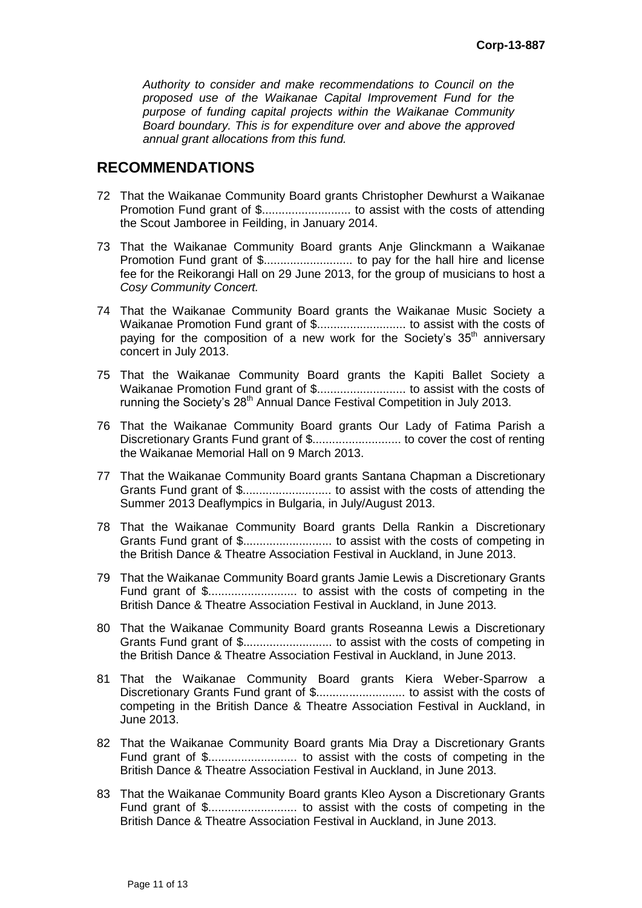*Authority to consider and make recommendations to Council on the proposed use of the Waikanae Capital Improvement Fund for the purpose of funding capital projects within the Waikanae Community Board boundary. This is for expenditure over and above the approved annual grant allocations from this fund.* 

## **RECOMMENDATIONS**

- 72 That the Waikanae Community Board grants Christopher Dewhurst a Waikanae Promotion Fund grant of \$........................... to assist with the costs of attending the Scout Jamboree in Feilding, in January 2014.
- 73 That the Waikanae Community Board grants Anje Glinckmann a Waikanae Promotion Fund grant of \$........................... to pay for the hall hire and license fee for the Reikorangi Hall on 29 June 2013, for the group of musicians to host a *Cosy Community Concert.*
- 74 That the Waikanae Community Board grants the Waikanae Music Society a Waikanae Promotion Fund grant of \$........................... to assist with the costs of paying for the composition of a new work for the Society's  $35<sup>th</sup>$  anniversary concert in July 2013.
- 75 That the Waikanae Community Board grants the Kapiti Ballet Society a Waikanae Promotion Fund grant of \$........................... to assist with the costs of running the Society's 28<sup>th</sup> Annual Dance Festival Competition in July 2013.
- 76 That the Waikanae Community Board grants Our Lady of Fatima Parish a Discretionary Grants Fund grant of \$........................... to cover the cost of renting the Waikanae Memorial Hall on 9 March 2013.
- 77 That the Waikanae Community Board grants Santana Chapman a Discretionary Grants Fund grant of \$........................... to assist with the costs of attending the Summer 2013 Deaflympics in Bulgaria, in July/August 2013.
- 78 That the Waikanae Community Board grants Della Rankin a Discretionary Grants Fund grant of \$........................... to assist with the costs of competing in the British Dance & Theatre Association Festival in Auckland, in June 2013.
- 79 That the Waikanae Community Board grants Jamie Lewis a Discretionary Grants Fund grant of \$........................... to assist with the costs of competing in the British Dance & Theatre Association Festival in Auckland, in June 2013.
- 80 That the Waikanae Community Board grants Roseanna Lewis a Discretionary Grants Fund grant of \$........................... to assist with the costs of competing in the British Dance & Theatre Association Festival in Auckland, in June 2013.
- 81 That the Waikanae Community Board grants Kiera Weber-Sparrow a Discretionary Grants Fund grant of \$........................... to assist with the costs of competing in the British Dance & Theatre Association Festival in Auckland, in June 2013.
- 82 That the Waikanae Community Board grants Mia Dray a Discretionary Grants Fund grant of \$........................... to assist with the costs of competing in the British Dance & Theatre Association Festival in Auckland, in June 2013.
- 83 That the Waikanae Community Board grants Kleo Ayson a Discretionary Grants Fund grant of \$........................... to assist with the costs of competing in the British Dance & Theatre Association Festival in Auckland, in June 2013.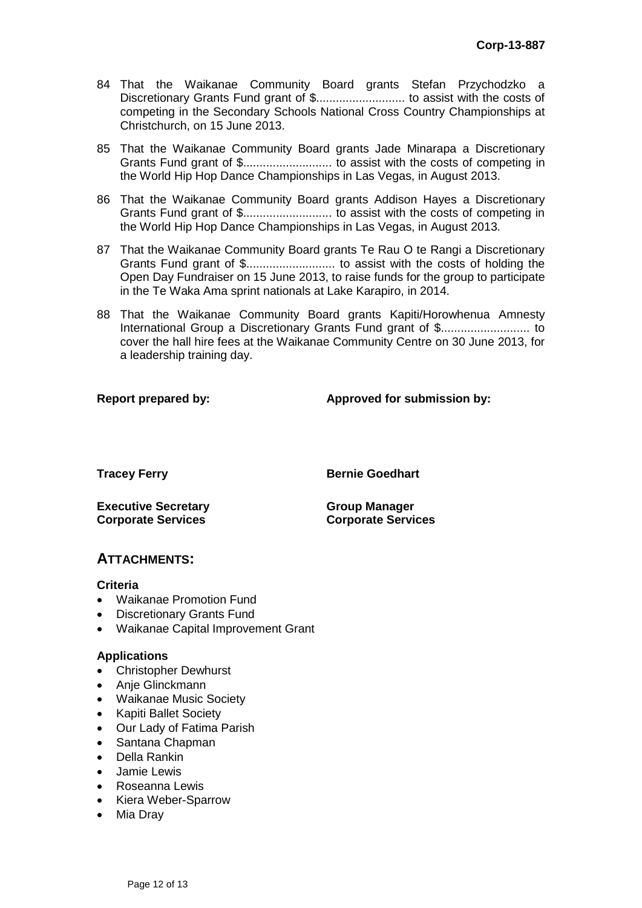- 84 That the Waikanae Community Board grants Stefan Przychodzko a Discretionary Grants Fund grant of \$........................... to assist with the costs of competing in the Secondary Schools National Cross Country Championships at Christchurch, on 15 June 2013.
- 85 That the Waikanae Community Board grants Jade Minarapa a Discretionary Grants Fund grant of \$........................... to assist with the costs of competing in the World Hip Hop Dance Championships in Las Vegas, in August 2013.
- 86 That the Waikanae Community Board grants Addison Hayes a Discretionary Grants Fund grant of \$........................... to assist with the costs of competing in the World Hip Hop Dance Championships in Las Vegas, in August 2013.
- 87 That the Waikanae Community Board grants Te Rau O te Rangi a Discretionary Grants Fund grant of \$........................... to assist with the costs of holding the Open Day Fundraiser on 15 June 2013, to raise funds for the group to participate in the Te Waka Ama sprint nationals at Lake Karapiro, in 2014.
- 88 That the Waikanae Community Board grants Kapiti/Horowhenua Amnesty International Group a Discretionary Grants Fund grant of \$........................... to cover the hall hire fees at the Waikanae Community Centre on 30 June 2013, for a leadership training day.

#### **Report prepared by: Approved for submission by:**

**Tracey Ferry <b>Bernie Goedhart** 

**Executive Secretary Corporate Services**

**Group Manager Corporate Services**

## **ATTACHMENTS:**

#### **Criteria**

- Waikanae Promotion Fund
- Discretionary Grants Fund
- Waikanae Capital Improvement Grant

#### **Applications**

- Christopher Dewhurst
- Anje Glinckmann
- Waikanae Music Society
- Kapiti Ballet Society
- Our Lady of Fatima Parish
- Santana Chapman
- Della Rankin
- Jamie Lewis
- Roseanna Lewis
- Kiera Weber-Sparrow
- Mia Dray